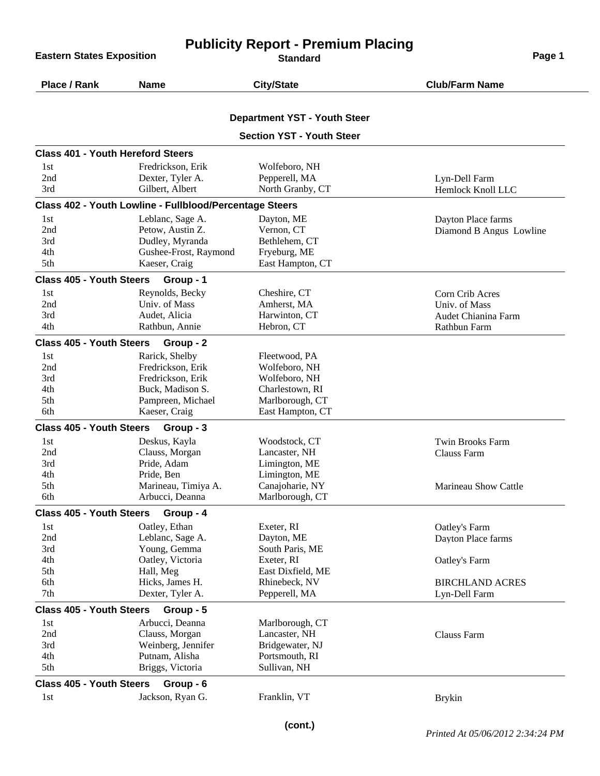**Eastern States Exposition** 

## **Publicity Report - Premium Placing**

| Place / Rank                             | <b>Name</b>                                             | <b>City/State</b>                   | <b>Club/Farm Name</b>                         |
|------------------------------------------|---------------------------------------------------------|-------------------------------------|-----------------------------------------------|
|                                          |                                                         | <b>Department YST - Youth Steer</b> |                                               |
|                                          |                                                         | <b>Section YST - Youth Steer</b>    |                                               |
| <b>Class 401 - Youth Hereford Steers</b> |                                                         |                                     |                                               |
| 1st                                      | Fredrickson, Erik                                       | Wolfeboro, NH                       |                                               |
| 2nd                                      | Dexter, Tyler A.                                        | Pepperell, MA                       | Lyn-Dell Farm                                 |
| 3rd                                      | Gilbert, Albert                                         | North Granby, CT                    | Hemlock Knoll LLC                             |
|                                          | Class 402 - Youth Lowline - Fullblood/Percentage Steers |                                     |                                               |
| 1st                                      | Leblanc, Sage A.                                        | Dayton, ME                          |                                               |
| 2nd                                      | Petow, Austin Z.                                        | Vernon, CT                          | Dayton Place farms<br>Diamond B Angus Lowline |
| 3rd                                      | Dudley, Myranda                                         | Bethlehem, CT                       |                                               |
| 4th                                      |                                                         |                                     |                                               |
| 5th                                      | Gushee-Frost, Raymond<br>Kaeser, Craig                  | Fryeburg, ME<br>East Hampton, CT    |                                               |
|                                          |                                                         |                                     |                                               |
| <b>Class 405 - Youth Steers</b>          | Group - 1                                               |                                     |                                               |
| 1st                                      | Reynolds, Becky                                         | Cheshire, CT                        | Corn Crib Acres                               |
| 2nd                                      | Univ. of Mass                                           | Amherst, MA                         | Univ. of Mass                                 |
| 3rd                                      | Audet, Alicia                                           | Harwinton, CT                       | Audet Chianina Farm                           |
| 4th                                      | Rathbun, Annie                                          | Hebron, CT                          | Rathbun Farm                                  |
| <b>Class 405 - Youth Steers</b>          | Group - 2                                               |                                     |                                               |
| 1st                                      | Rarick, Shelby                                          | Fleetwood, PA                       |                                               |
| 2nd                                      | Fredrickson, Erik                                       | Wolfeboro, NH                       |                                               |
| 3rd                                      | Fredrickson, Erik                                       | Wolfeboro, NH                       |                                               |
| 4th                                      | Buck, Madison S.                                        | Charlestown, RI                     |                                               |
| 5th                                      | Pampreen, Michael                                       | Marlborough, CT                     |                                               |
| 6th                                      | Kaeser, Craig                                           | East Hampton, CT                    |                                               |
| <b>Class 405 - Youth Steers</b>          | Group - 3                                               |                                     |                                               |
| 1st                                      | Deskus, Kayla                                           | Woodstock, CT                       | <b>Twin Brooks Farm</b>                       |
| 2nd                                      | Clauss, Morgan                                          | Lancaster, NH                       | Clauss Farm                                   |
| 3rd                                      | Pride, Adam                                             | Limington, ME                       |                                               |
| 4th                                      | Pride, Ben                                              | Limington, ME                       |                                               |
| 5th                                      | Marineau, Timiya A.                                     | Canajoharie, NY                     | <b>Marineau Show Cattle</b>                   |
| 6th                                      | Arbucci, Deanna                                         | Marlborough, CT                     |                                               |
| <b>Class 405 - Youth Steers</b>          | Group - 4                                               |                                     |                                               |
| 1st                                      | Oatley, Ethan                                           | Exeter, RI                          | Oatley's Farm                                 |
| 2nd                                      | Leblanc, Sage A.                                        | Dayton, ME                          | Dayton Place farms                            |
| 3rd                                      | Young, Gemma                                            | South Paris, ME                     |                                               |
| 4th                                      | Oatley, Victoria                                        | Exeter, RI                          | Oatley's Farm                                 |
| 5th                                      | Hall, Meg                                               | East Dixfield, ME                   |                                               |
| 6th                                      | Hicks, James H.                                         | Rhinebeck, NV                       | <b>BIRCHLAND ACRES</b>                        |
| 7th                                      | Dexter, Tyler A.                                        | Pepperell, MA                       | Lyn-Dell Farm                                 |
| <b>Class 405 - Youth Steers</b>          | Group - 5                                               |                                     |                                               |
| 1st                                      | Arbucci, Deanna                                         | Marlborough, CT                     |                                               |
| 2nd                                      | Clauss, Morgan                                          | Lancaster, NH                       | Clauss Farm                                   |
| 3rd                                      | Weinberg, Jennifer                                      | Bridgewater, NJ                     |                                               |
| 4th                                      | Putnam, Alisha                                          | Portsmouth, RI                      |                                               |
| 5th                                      | Briggs, Victoria                                        | Sullivan, NH                        |                                               |
|                                          |                                                         |                                     |                                               |
| <b>Class 405 - Youth Steers</b><br>1st   | Group - 6<br>Jackson, Ryan G.                           |                                     |                                               |
|                                          |                                                         | Franklin, VT                        | <b>Brykin</b>                                 |
|                                          |                                                         |                                     |                                               |

*Printed At 05/06/2012 2:34:24 PM* **(cont.)**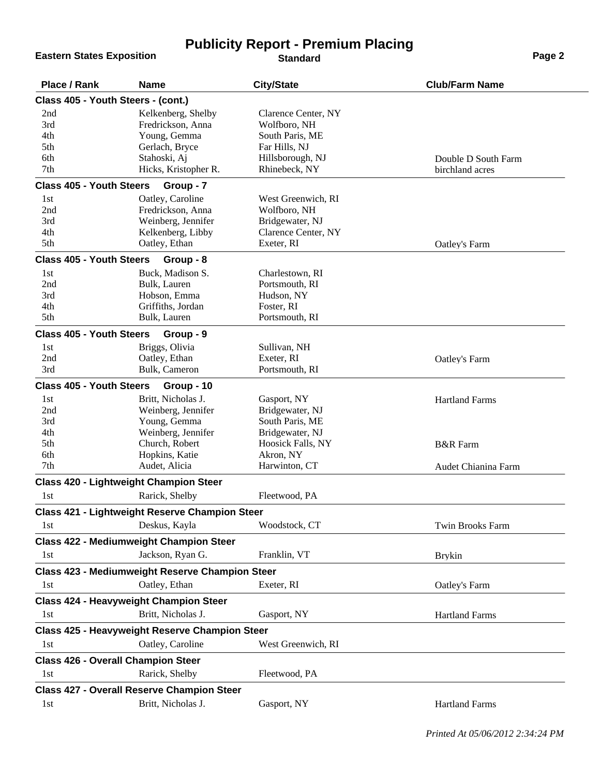## **Eastern States Exposition**

## **Publicity Report - Premium Placing**

| Place / Rank                              | <b>Name</b>                                            | <b>City/State</b>              | <b>Club/Farm Name</b>   |  |  |
|-------------------------------------------|--------------------------------------------------------|--------------------------------|-------------------------|--|--|
| Class 405 - Youth Steers - (cont.)        |                                                        |                                |                         |  |  |
| 2nd                                       | Kelkenberg, Shelby<br>Clarence Center, NY              |                                |                         |  |  |
| 3rd                                       | Fredrickson, Anna                                      | Wolfboro, NH                   |                         |  |  |
| 4th                                       | Young, Gemma                                           | South Paris, ME                |                         |  |  |
| 5th                                       | Gerlach, Bryce                                         | Far Hills, NJ                  |                         |  |  |
| 6th                                       | Stahoski, Aj                                           | Hillsborough, NJ               | Double D South Farm     |  |  |
| 7th                                       | Hicks, Kristopher R.                                   | Rhinebeck, NY                  | birchland acres         |  |  |
| <b>Class 405 - Youth Steers</b>           | Group - 7                                              |                                |                         |  |  |
| 1st                                       | Oatley, Caroline                                       | West Greenwich, RI             |                         |  |  |
| 2nd                                       | Fredrickson, Anna                                      | Wolfboro, NH                   |                         |  |  |
| 3rd                                       | Weinberg, Jennifer                                     | Bridgewater, NJ                |                         |  |  |
| 4th                                       | Kelkenberg, Libby                                      | Clarence Center, NY            |                         |  |  |
| 5th                                       | Oatley, Ethan                                          | Exeter, RI                     | Oatley's Farm           |  |  |
| <b>Class 405 - Youth Steers</b>           | Group - 8                                              |                                |                         |  |  |
| 1st                                       | Buck, Madison S.                                       | Charlestown, RI                |                         |  |  |
| 2nd                                       | Bulk, Lauren                                           | Portsmouth, RI                 |                         |  |  |
| 3rd                                       | Hobson, Emma                                           | Hudson, NY                     |                         |  |  |
| 4th<br>5th                                | Griffiths, Jordan<br>Bulk, Lauren                      | Foster, RI<br>Portsmouth, RI   |                         |  |  |
|                                           |                                                        |                                |                         |  |  |
| <b>Class 405 - Youth Steers</b>           | Group - 9                                              |                                |                         |  |  |
| 1st<br>2nd                                | Briggs, Olivia<br>Oatley, Ethan                        | Sullivan, NH<br>Exeter, RI     |                         |  |  |
| 3rd                                       | Bulk, Cameron                                          | Portsmouth, RI                 | Oatley's Farm           |  |  |
| <b>Class 405 - Youth Steers</b>           |                                                        |                                |                         |  |  |
|                                           | Group - 10                                             |                                |                         |  |  |
| 1st<br>2nd                                | Britt, Nicholas J.<br>Weinberg, Jennifer               | Gasport, NY<br>Bridgewater, NJ | <b>Hartland Farms</b>   |  |  |
| 3rd                                       | Young, Gemma                                           | South Paris, ME                |                         |  |  |
| 4th                                       | Weinberg, Jennifer                                     | Bridgewater, NJ                |                         |  |  |
| 5th                                       | Church, Robert                                         | Hoosick Falls, NY              | <b>B&amp;R</b> Farm     |  |  |
| 6th                                       | Hopkins, Katie                                         | Akron, NY                      |                         |  |  |
| 7th                                       | Audet, Alicia                                          | Harwinton, CT                  | Audet Chianina Farm     |  |  |
|                                           | <b>Class 420 - Lightweight Champion Steer</b>          |                                |                         |  |  |
| 1st                                       | Rarick, Shelby                                         | Fleetwood, PA                  |                         |  |  |
|                                           | <b>Class 421 - Lightweight Reserve Champion Steer</b>  |                                |                         |  |  |
| 1st                                       | Deskus, Kayla                                          | Woodstock, CT                  | <b>Twin Brooks Farm</b> |  |  |
|                                           | <b>Class 422 - Mediumweight Champion Steer</b>         |                                |                         |  |  |
| 1st                                       | Jackson, Ryan G.                                       | Franklin, VT                   | <b>Brykin</b>           |  |  |
|                                           | <b>Class 423 - Mediumweight Reserve Champion Steer</b> |                                |                         |  |  |
| 1st                                       | Oatley, Ethan                                          | Exeter, RI                     | Oatley's Farm           |  |  |
|                                           | <b>Class 424 - Heavyweight Champion Steer</b>          |                                |                         |  |  |
| 1st                                       | Britt, Nicholas J.                                     | Gasport, NY                    | <b>Hartland Farms</b>   |  |  |
|                                           | Class 425 - Heavyweight Reserve Champion Steer         |                                |                         |  |  |
| 1st                                       | Oatley, Caroline                                       | West Greenwich, RI             |                         |  |  |
| <b>Class 426 - Overall Champion Steer</b> |                                                        |                                |                         |  |  |
| 1st                                       | Rarick, Shelby                                         | Fleetwood, PA                  |                         |  |  |
|                                           | <b>Class 427 - Overall Reserve Champion Steer</b>      |                                |                         |  |  |
| 1st                                       | Britt, Nicholas J.                                     | Gasport, NY                    | <b>Hartland Farms</b>   |  |  |
|                                           |                                                        |                                |                         |  |  |